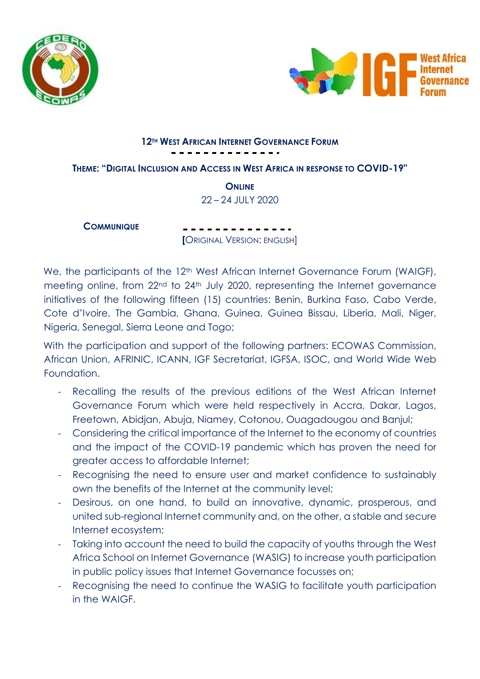



### **12TH WEST AFRICAN INTERNET GOVERNANCE FORUM**

**THEME: "DIGITAL INCLUSION AND ACCESS IN WEST AFRICA IN RESPONSE TO COVID-19"**

**ONLINE** 22 – 24 JULY 2020

**COMMUNIQUE**

**[**ORIGINAL VERSION: ENGLISH]

We, the participants of the 12<sup>th</sup> West African Internet Governance Forum (WAIGF), meeting online, from 22<sup>nd</sup> to 24<sup>th</sup> July 2020, representing the Internet governance initiatives of the following fifteen (15) countries: Benin, Burkina Faso, Cabo Verde, Cote d'Ivoire, The Gambia, Ghana, Guinea, Guinea Bissau, Liberia, Mali, Niger, Nigeria, Senegal, Sierra Leone and Togo;

With the participation and support of the following partners: ECOWAS Commission, African Union, AFRINIC, ICANN, IGF Secretariat, IGFSA, ISOC, and World Wide Web Foundation.

- Recalling the results of the previous editions of the West African Internet Governance Forum which were held respectively in Accra, Dakar, Lagos, Freetown, Abidjan, Abuja, Niamey, Cotonou, Ouagadougou and Banjul;
- Considering the critical importance of the Internet to the economy of countries and the impact of the COVID-19 pandemic which has proven the need for greater access to affordable Internet;
- Recognising the need to ensure user and market confidence to sustainably own the benefits of the Internet at the community level;
- Desirous, on one hand, to build an innovative, dynamic, prosperous, and united sub-regional Internet community and, on the other, a stable and secure Internet ecosystem;
- Taking into account the need to build the capacity of youths through the West Africa School on Internet Governance (WASIG) to increase youth participation in public policy issues that Internet Governance focusses on;
- Recognising the need to continue the WASIG to facilitate youth participation in the WAIGF.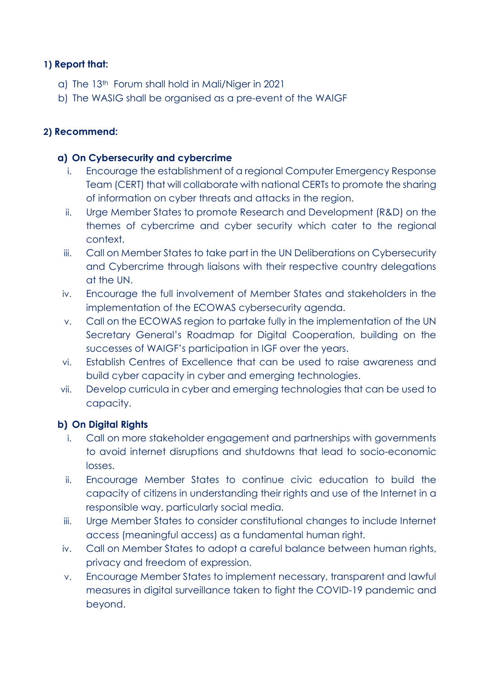## **1) Report that:**

- a) The 13th Forum shall hold in Mali/Niger in 2021
- b) The WASIG shall be organised as a pre-event of the WAIGF

## **2) Recommend:**

## **a) On Cybersecurity and cybercrime**

- i. Encourage the establishment of a regional Computer Emergency Response Team (CERT) that will collaborate with national CERTs to promote the sharing of information on cyber threats and attacks in the region.
- ii. Urge Member States to promote Research and Development (R&D) on the themes of cybercrime and cyber security which cater to the regional context.
- iii. Call on Member States to take part in the UN Deliberations on Cybersecurity and Cybercrime through liaisons with their respective country delegations at the UN.
- iv. Encourage the full involvement of Member States and stakeholders in the implementation of the ECOWAS cybersecurity agenda.
- v. Call on the ECOWAS region to partake fully in the implementation of the UN Secretary General's Roadmap for Digital Cooperation, building on the successes of WAIGF's participation in IGF over the years.
- vi. Establish Centres of Excellence that can be used to raise awareness and build cyber capacity in cyber and emerging technologies.
- vii. Develop curricula in cyber and emerging technologies that can be used to capacity.

# **b) On Digital Rights**

- i. Call on more stakeholder engagement and partnerships with governments to avoid internet disruptions and shutdowns that lead to socio-economic losses.
- ii. Encourage Member States to continue civic education to build the capacity of citizens in understanding their rights and use of the Internet in a responsible way, particularly social media.
- iii. Urge Member States to consider constitutional changes to include Internet access (meaningful access) as a fundamental human right.
- iv. Call on Member States to adopt a careful balance between human rights, privacy and freedom of expression.
- v. Encourage Member States to implement necessary, transparent and lawful measures in digital surveillance taken to fight the COVID-19 pandemic and beyond.